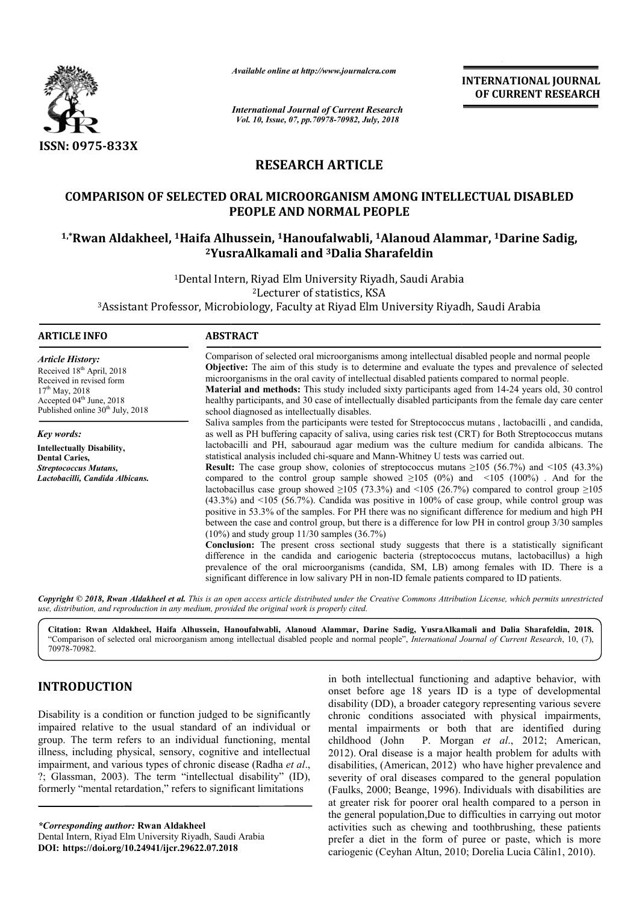

*Available online at http://www.journalcra.com*

*International Journal of Current Research Vol. 10, Issue, 07, pp.70978-70982, July, 2018*

**INTERNATIONAL JOURNAL OF CURRENT RESEARCH**

# **RESEARCH ARTICLE**

# **COMPARISON OF SELECTED ORAL MICROORGANISM AMONG INTELLECTUAL DISABLED PEOPLE AND NORMAL PEOPLE** COMPARISON OF SELECTED ORAL MICROORGANISM AMONG INTELLECTUAL DISABLED<br>PEOPLE AND NORMAL PEOPLE<br><sup>1,\*</sup>Rwan Aldakheel, <sup>1</sup>Haifa Alhussein, <sup>1</sup>Hanoufalwabli, <sup>1</sup>Alanoud Alammar, <sup>1</sup>Darine Sadig,

# **2YusraAlkamali YusraAlkamali and 3Dalia Sharafeldin**

<sup>1</sup>Dental Intern, Riyad Elm University Riyadh, Saudi Arabia 1Dental Intern, Riyad Elm University Riyadh, Saudi Arabia<br>2Lecturer of statistics, KSA<br>3Assistant Professor, Microbiology, Faculty at Riyad Elm University Riyadh, Saudi Arabia 2Lecturer of statistics, KSA

#### **ARTICLE INFO ABSTRACT**

*Article History:* Received 18<sup>th</sup> April, 2018 Received in revised form 17<sup>th</sup> May, 2018 Accepted 04<sup>th</sup> June, 2018 Published online 30<sup>th</sup> July, 2018

*Key words:* **Intellectually Disability, Dental Caries,** *Streptococcus Mutans, Lactobacilli, Candida Albicans.* Comparison of selected oral microorganisms among intellectual disabled people and normal people **Objective:** The aim of this study is to determine and evaluate the types and prevalence of selected microorganisms in the oral cavity of intellectual disabled patients compared to normal people. **Material and methods:** This study included sixty participants aged from 14-24 years old, 30 control healthy participants, and 30 case of intellectually disabled participants from the female day care center

school diagnosed as intellectually disables. Saliva samples from the participants were tested for Streptococcus mutans, lactobacilli, and candida, as well as PH buffering capacity of saliva, using caries risk test (CRT) for Both Streptococcus mutans

lactobacilli and PH, sabouraud agar medium was the culture medium for candida albicans. The lactobacilli and PH, sabouraud agar medium was the culture medium for candida statistical analysis included chi-square and Mann-Whitney U tests was carried out.

**Result:** The case group show, colonies of streptococcus mutans  $\geq 105$  (56.7%) and <105 (43.3%) compared to the control group sample showed  $\geq 105$  (0%) and  $\leq 105$  (100%). And for the lactobacillus case group showed  $\geq 105$  (73.3%) and <105 (26.7%) compared to control group  $\geq 105$ (43.3%) and <105 (56.7%). Candida was positive in 100% of case group, while control group was  $(43.3%)$  and  $\leq 105$  (56.7%). Candida was positive in 100% of case group, while control group was positive in 53.3% of the samples. For PH there was no significant difference for medium and high PH between the case and control group, but there is a difference for low PH in control group 3/30 samples (10%) and study group 11/30 samples (36.7%) between the case and control group, but there is a difference for low PH in control group 3/30 samples (10%) and study group 11/30 samples (36.7%)<br>**Conclusion:** The present cross sectional study suggests that there is a st

difference in the candida and cariogenic bacteria (streptococcus mutans, lactobacillus) a high prevalence of the oral mic microorganisms (candida, SM, LB) among females with ID. There is a significant difference in low salivary PH in non-ID female patients compared to ID patients.

Copyright © 2018, Rwan Aldakheel et al. This is an open access article distributed under the Creative Commons Attribution License, which permits unrestrictea *use, distribution, and reproduction in any medium, provided the original work is properly cited.*

**Citation: Rwan Aldakheel, Haifa Alhussein, Hanoufalwabli, Alanoud Alammar, Darine Sadig, YusraAlkamali and Dalia Sharafeldin, 2018.** "Comparison of selected oral microorganism among intellectual disabled people and normal people", *International Journal of Current Research*, 10, (7), 70978-70982.

## **INTRODUCTION**

Disability is a condition or function judged to be significantly impaired relative to the usual standard of an individual or group. The term refers to an individual functioning, mental illness, including physical, sensory, cognitive and intellectual impairment, and various types of chronic disease (Radha et al., ?; Glassman, 2003). The term "intellectual disability" (ID), formerly "mental retardation," refers to significant limitations

*\*Corresponding author:* **Rwan Aldakheel** Dental Intern, Riyad Elm University Riyadh, Saudi Arabia **DOI: https://doi.org/10.24941/ijcr.29622.07.2018**

in both intellectual functioning and adaptive behavior, with<br>
onset before age 18 years ID is a type of developmental<br>
disability (DD), a broader category representing various severe<br>
chronic conditions associated with phy onset before age 18 years ID is a type of developmental disability (DD), a broader category representing various severe chronic conditions associated with physical impairments, mental impairments or both that are identified during in both intellectual functioning and adaptive behavior, with onset before age 18 years ID is a type of developmental disability (DD), a broader category representing various severe chronic conditions associated with physic 2012). Oral disease is a major health problem for adults with disabilities, (American, 2012) who have higher prevalence and severity of oral diseases compared to the general population (Faulks, 2000; Beange, 1996). Individuals with disabilities are at greater risk for poorer oral health compared to a person in the general population,Due to difficulties in carrying out motor activities such as chewing and toothbrushing, these patients prefer a diet in the form of puree or paste, which is more cariogenic (Ceyhan Altun, 2010; Dorelia Lucia Călin1, 2010). the general population,Due to difficulties in carrying out motor activities such as chewing and toothbrushing, these patients prefer a diet in the form of puree or paste, which is more cariogenic (Ceyhan Altun, 2010). Dore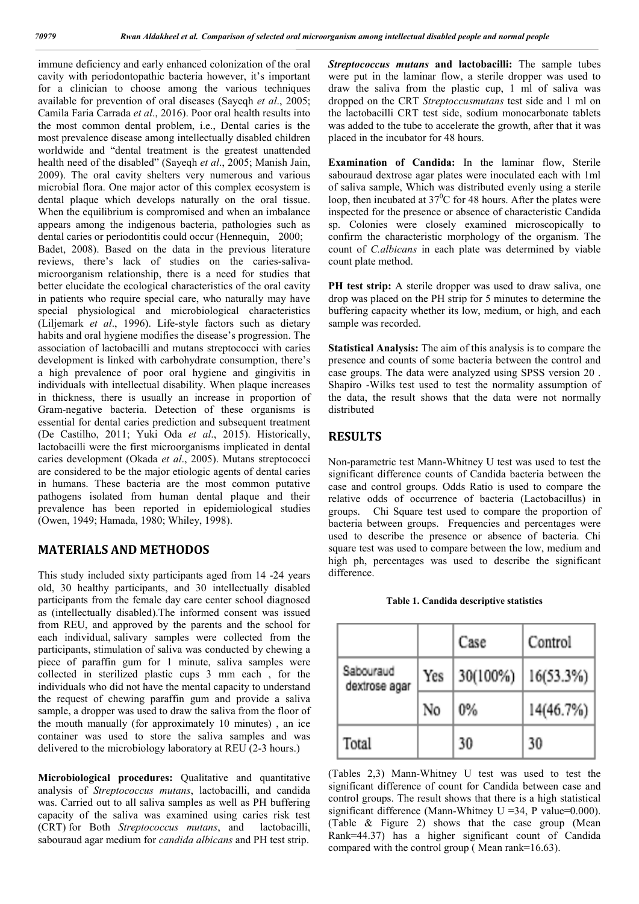immune deficiency and early enhanced colonization of the oral cavity with periodontopathic bacteria however, it's important for a clinician to choose among the various techniques available for prevention of oral diseases (Sayeqh *et al*., 2005; Camila Faria Carrada *et al*., 2016). Poor oral health results into the most common dental problem, i.e., Dental caries is the most prevalence disease among intellectually disabled children worldwide and "dental treatment is the greatest unattended health need of the disabled" (Sayeqh *et al*., 2005; Manish Jain, 2009). The oral cavity shelters very numerous and various microbial flora. One major actor of this complex ecosystem is dental plaque which develops naturally on the oral tissue. When the equilibrium is compromised and when an imbalance appears among the indigenous bacteria, pathologies such as dental caries or periodontitis could occur (Hennequin, 2000; Badet, 2008). Based on the data in the previous literature reviews, there's lack of studies on the caries-salivamicroorganism relationship, there is a need for studies that better elucidate the ecological characteristics of the oral cavity in patients who require special care, who naturally may have special physiological and microbiological characteristics (Liljemark *et al*., 1996). Life-style factors such as dietary habits and oral hygiene modifies the disease's progression. The association of lactobacilli and mutans streptococci with caries development is linked with carbohydrate consumption, there's a high prevalence of poor oral hygiene and gingivitis in individuals with intellectual disability. When plaque increases in thickness, there is usually an increase in proportion of Gram-negative bacteria. Detection of these organisms is essential for dental caries prediction and subsequent treatment (De Castilho, 2011; Yuki Oda *et al*., 2015). Historically, lactobacilli were the first microorganisms implicated in dental caries development (Okada *et al*., 2005). Mutans streptococci are considered to be the major etiologic agents of dental caries in humans. These bacteria are the most common putative pathogens isolated from human dental plaque and their prevalence has been reported in epidemiological studies (Owen, 1949; Hamada, 1980; Whiley, 1998).

### **MATERIALS AND METHODOS**

This study included sixty participants aged from 14 -24 years old, 30 healthy participants, and 30 intellectually disabled participants from the female day care center school diagnosed as (intellectually disabled).The informed consent was issued from REU, and approved by the parents and the school for each individual, salivary samples were collected from the participants, stimulation of saliva was conducted by chewing a piece of paraffin gum for 1 minute, saliva samples were collected in sterilized plastic cups 3 mm each , for the individuals who did not have the mental capacity to understand the request of chewing paraffin gum and provide a saliva sample, a dropper was used to draw the saliva from the floor of the mouth manually (for approximately 10 minutes) , an ice container was used to store the saliva samples and was delivered to the microbiology laboratory at REU (2-3 hours.)

**Microbiological procedures:** Qualitative and quantitative analysis of *Streptococcus mutans*, lactobacilli, and candida was. Carried out to all saliva samples as well as PH buffering capacity of the saliva was examined using caries risk test (CRT) for Both *Streptococcus mutans*, and lactobacilli, sabouraud agar medium for *candida albicans* and PH test strip.

*Streptococcus mutans* **and lactobacilli:** The sample tubes were put in the laminar flow, a sterile dropper was used to draw the saliva from the plastic cup, 1 ml of saliva was dropped on the CRT *Streptoccusmutans* test side and 1 ml on the lactobacilli CRT test side, sodium monocarbonate tablets was added to the tube to accelerate the growth, after that it was placed in the incubator for 48 hours.

**Examination of Candida:** In the laminar flow, Sterile sabouraud dextrose agar plates were inoculated each with 1ml of saliva sample, Which was distributed evenly using a sterile loop, then incubated at  $37^{\circ}$ C for 48 hours. After the plates were inspected for the presence or absence of characteristic Candida sp. Colonies were closely examined microscopically to confirm the characteristic morphology of the organism. The count of *C.albicans* in each plate was determined by viable count plate method.

**PH test strip:** A sterile dropper was used to draw saliva, one drop was placed on the PH strip for 5 minutes to determine the buffering capacity whether its low, medium, or high, and each sample was recorded.

**Statistical Analysis:** The aim of this analysis is to compare the presence and counts of some bacteria between the control and case groups. The data were analyzed using SPSS version 20 . Shapiro -Wilks test used to test the normality assumption of the data, the result shows that the data were not normally distributed

#### **RESULTS**

Non-parametric test Mann-Whitney U test was used to test the significant difference counts of Candida bacteria between the case and control groups. Odds Ratio is used to compare the relative odds of occurrence of bacteria (Lactobacillus) in groups. Chi Square test used to compare the proportion of bacteria between groups. Frequencies and percentages were used to describe the presence or absence of bacteria. Chi square test was used to compare between the low, medium and high ph, percentages was used to describe the significant difference.

|  |  | Table 1. Candida descriptive statistics |  |
|--|--|-----------------------------------------|--|
|--|--|-----------------------------------------|--|

|                            |     | Case     | Control   |
|----------------------------|-----|----------|-----------|
| Sabouraud<br>dextrose agar | Yes | 30(100%) | 16(53.3%) |
|                            | No  | $0\%$    | 14(46.7%) |
| Total                      |     | 30       | 30        |

(Tables 2,3) Mann-Whitney U test was used to test the significant difference of count for Candida between case and control groups. The result shows that there is a high statistical significant difference (Mann-Whitney  $U = 34$ , P value=0.000). (Table & Figure 2) shows that the case group (Mean Rank=44.37) has a higher significant count of Candida compared with the control group ( Mean rank=16.63).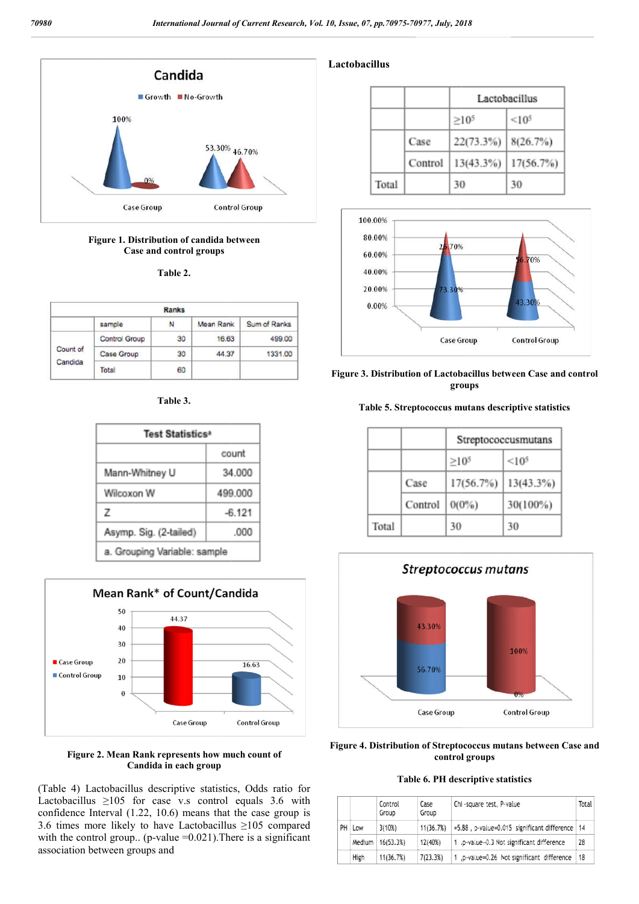

#### **Figure 1. Distribution of candida between Case and control groups**

**Table 2.**

| <b>Ranks</b>        |                      |    |                  |              |
|---------------------|----------------------|----|------------------|--------------|
|                     | sample               | N  | <b>Mean Rank</b> | Sum of Ranks |
| Count of<br>Candida | <b>Control Group</b> | 30 | 16.63            | 499.00       |
|                     | Case Group           | 30 | 44.37            | 1331.00      |
|                     | Total                | 60 |                  |              |

**Table 3.**

| Test Statistics <sup>a</sup> |          |  |  |
|------------------------------|----------|--|--|
|                              | count    |  |  |
| Mann-Whitney U               | 34,000   |  |  |
| Wilcoxon W                   | 499.000  |  |  |
| z                            | $-6.121$ |  |  |
| Asymp. Sig. (2-tailed)       | .000     |  |  |
| a. Grouping Variable: sample |          |  |  |



**Figure 2. Mean Rank represents how much count of Candida in each group**

(Table 4) Lactobacillus descriptive statistics, Odds ratio for Lactobacillus  $\geq 105$  for case v.s control equals 3.6 with confidence Interval (1.22, 10.6) means that the case group is 3.6 times more likely to have Lactobacillus ≥105 compared with the control group.. (p-value = 0.021). There is a significant association between groups and

#### **Lactobacillus**

|       |         | Lactobacillus |                   |  |
|-------|---------|---------------|-------------------|--|
|       |         | $>10^{5}$     | < 10 <sup>5</sup> |  |
|       | Case    | 22(73.3%)     | 8(26.7%)          |  |
|       | Control | 13(43.3%)     | 17(56.7%)         |  |
| Total |         | 30            | 30                |  |





#### **Table 5. Streptococcus mutans descriptive statistics**

|       |         | Streptococcusmutans |                   |  |
|-------|---------|---------------------|-------------------|--|
|       |         | $\geq 10^5$         | < 10 <sup>5</sup> |  |
|       | Case    | 17(56.7%)           | 13(43.3%)         |  |
|       | Control | $0(0\%)$            | 30(100%)          |  |
| Total |         | 30                  | 30                |  |



**Figure 4. Distribution of Streptococcus mutans between Case and control groups**

#### **Table 6. PH descriptive statistics**

|    |        | Control<br>Group | Case<br>Group | Chi -square test, P-value                        | Total |
|----|--------|------------------|---------------|--------------------------------------------------|-------|
| PH | Low    | 3(10%)           | 11(36.7%)     | =5.88, p-value=0.015 significant difference   14 |       |
|    | Medium | 16(53.3%)        | 12(40%)       | 1.p-value=0.3 Not significant difference         | 28    |
|    | High   | 11(36.7%)        | 7(23.3%)      | 1 p-value=0.26 Not significant difference        | 18    |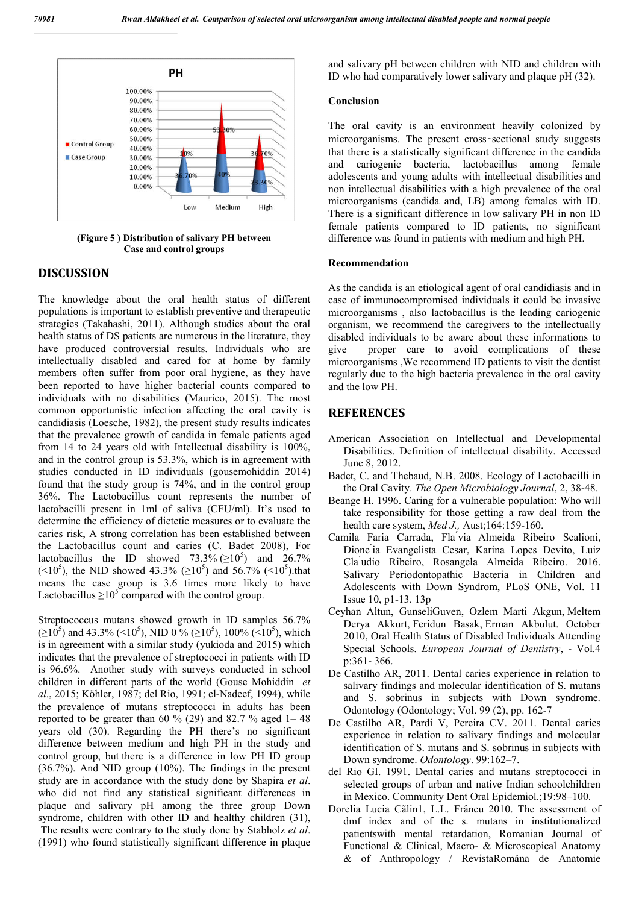

**(Figure 5 ) Distribution of salivary PH between Case and control groups**

#### **DISCUSSION**

The knowledge about the oral health status of different populations is important to establish preventive and therapeutic strategies (Takahashi, 2011). Although studies about the oral health status of DS patients are numerous in the literature, they have produced controversial results. Individuals who are intellectually disabled and cared for at home by family members often suffer from poor oral hygiene, as they have been reported to have higher bacterial counts compared to individuals with no disabilities (Maurico, 2015). The most common opportunistic infection affecting the oral cavity is candidiasis (Loesche, 1982), the present study results indicates that the prevalence growth of candida in female patients aged from 14 to 24 years old with Intellectual disability is 100%, and in the control group is 53.3%, which is in agreement with studies conducted in ID individuals (gousemohiddin 2014) found that the study group is 74%, and in the control group 36%. The Lactobacillus count represents the number of lactobacilli present in 1ml of saliva (CFU/ml). It's used to determine the efficiency of dietetic measures or to evaluate the caries risk, A strong correlation has been established between the Lactobacillus count and caries (C. Badet 2008), For lactobacillus the ID showed  $73.3\%$  ( $\geq 10^5$ ) and  $26.7\%$ (<10<sup>5</sup>), the NID showed 43.3% ( $\geq 10^5$ ) and 56.7% (<10<sup>5</sup>).that means the case group is 3.6 times more likely to have Lactobacillus  $\geq 10^5$  compared with the control group.

Streptococcus mutans showed growth in ID samples 56.7%  $(\geq 10^5)$  and 43.3% (<10<sup>5</sup>), NID 0 % ( $\geq 10^5$ ), 100% (<10<sup>5</sup>), which is in agreement with a similar study (yukioda and 2015) which indicates that the prevalence of streptococci in patients with ID is 96.6%. Another study with surveys conducted in school children in different parts of the world (Gouse Mohiddin *et al*., 2015; Köhler, 1987; del Rio, 1991; el-Nadeef, 1994), while the prevalence of mutans streptococci in adults has been reported to be greater than 60  $\%$  (29) and 82.7  $\%$  aged 1–48 years old (30). Regarding the PH there's no significant difference between medium and high PH in the study and control group, but there is a difference in low PH ID group (36.7%). And NID group (10%). The findings in the present study are in accordance with the study done by Shapira *et al*. who did not find any statistical significant differences in plaque and salivary pH among the three group Down syndrome, children with other ID and healthy children (31), The results were contrary to the study done by Stabholz *et al*. (1991) who found statistically significant difference in plaque

and salivary pH between children with NID and children with ID who had comparatively lower salivary and plaque pH (32).

#### **Conclusion**

The oral cavity is an environment heavily colonized by microorganisms. The present cross‑sectional study suggests that there is a statistically significant difference in the candida and cariogenic bacteria, lactobacillus among female adolescents and young adults with intellectual disabilities and non intellectual disabilities with a high prevalence of the oral microorganisms (candida and, LB) among females with ID. There is a significant difference in low salivary PH in non ID female patients compared to ID patients, no significant difference was found in patients with medium and high PH.

#### **Recommendation**

As the candida is an etiological agent of oral candidiasis and in case of immunocompromised individuals it could be invasive microorganisms , also lactobacillus is the leading cariogenic organism, we recommend the caregivers to the intellectually disabled individuals to be aware about these informations to give proper care to avoid complications of these microorganisms ,We recommend ID patients to visit the dentist regularly due to the high bacteria prevalence in the oral cavity and the low PH.

#### **REFERENCES**

- American Association on Intellectual and Developmental Disabilities. Definition of intellectual disability. Accessed June 8, 2012.
- Badet, C. and Thebaud, N.B. 2008. Ecology of Lactobacilli in the Oral Cavity. *The Open Microbiology Journal*, 2, 38-48.
- Beange H. 1996. Caring for a vulnerable population: Who will take responsibility for those getting a raw deal from the health care system, *Med J.,* Aust;164:159-160.
- Camila Faria Carrada, Fla ́via Almeida Ribeiro Scalioni, Dione ́ia Evangelista Cesar, Karina Lopes Devito, Luiz Cla ́udio Ribeiro, Rosangela Almeida Ribeiro. 2016. Salivary Periodontopathic Bacteria in Children and Adolescents with Down Syndrom, PLoS ONE, Vol. 11 Issue 10, p1-13. 13p
- Ceyhan Altun, GunseliGuven, Ozlem Marti Akgun, Meltem Derya Akkurt, Feridun Basak, Erman Akbulut. October 2010, Oral Health Status of Disabled Individuals Attending Special Schools. *European Journal of Dentistry*, - Vol.4 p:361- 366.
- De Castilho AR, 2011. Dental caries experience in relation to salivary findings and molecular identification of S. mutans and S. sobrinus in subjects with Down syndrome. Odontology (Odontology; Vol. 99 (2), pp. 162-7
- De Castilho AR, Pardi V, Pereira CV. 2011. Dental caries experience in relation to salivary findings and molecular identification of S. mutans and S. sobrinus in subjects with Down syndrome. *Odontology*. 99:162–7.
- del Rio GI. 1991. Dental caries and mutans streptococci in selected groups of urban and native Indian schoolchildren in Mexico. Community Dent Oral Epidemiol.;19:98–100.
- Dorelia Lucia Cãlin1, L.L. Frâncu 2010. The assessment of dmf index and of the s. mutans in institutionalized patientswith mental retardation, Romanian Journal of Functional & Clinical, Macro- & Microscopical Anatomy & of Anthropology / RevistaRomâna de Anatomie